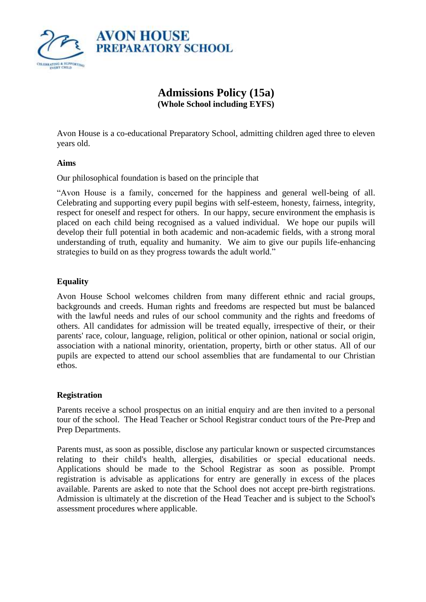

# **Admissions Policy (15a) (Whole School including EYFS)**

Avon House is a co-educational Preparatory School, admitting children aged three to eleven years old.

#### **Aims**

Our philosophical foundation is based on the principle that

"Avon House is a family, concerned for the happiness and general well-being of all. Celebrating and supporting every pupil begins with self-esteem, honesty, fairness, integrity, respect for oneself and respect for others. In our happy, secure environment the emphasis is placed on each child being recognised as a valued individual. We hope our pupils will develop their full potential in both academic and non-academic fields, with a strong moral understanding of truth, equality and humanity. We aim to give our pupils life-enhancing strategies to build on as they progress towards the adult world."

## **Equality**

Avon House School welcomes children from many different ethnic and racial groups, backgrounds and creeds. Human rights and freedoms are respected but must be balanced with the lawful needs and rules of our school community and the rights and freedoms of others. All candidates for admission will be treated equally, irrespective of their, or their parents' race, colour, language, religion, political or other opinion, national or social origin, association with a national minority, orientation, property, birth or other status. All of our pupils are expected to attend our school assemblies that are fundamental to our Christian ethos.

#### **Registration**

Parents receive a school prospectus on an initial enquiry and are then invited to a personal tour of the school. The Head Teacher or School Registrar conduct tours of the Pre-Prep and Prep Departments.

Parents must, as soon as possible, disclose any particular known or suspected circumstances relating to their child's health, allergies, disabilities or special educational needs. Applications should be made to the School Registrar as soon as possible. Prompt registration is advisable as applications for entry are generally in excess of the places available. Parents are asked to note that the School does not accept pre-birth registrations. Admission is ultimately at the discretion of the Head Teacher and is subject to the School's assessment procedures where applicable.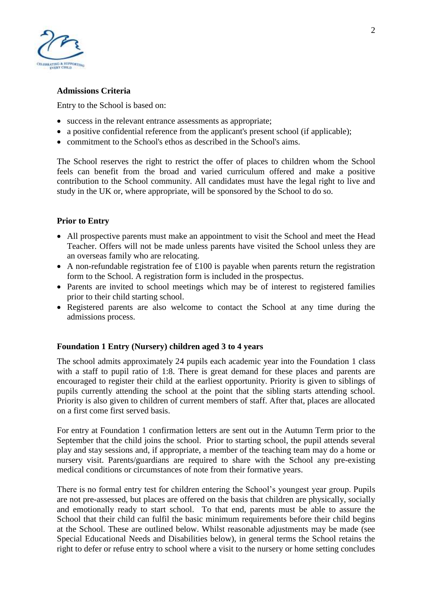

### **Admissions Criteria**

Entry to the School is based on:

- success in the relevant entrance assessments as appropriate;
- a positive confidential reference from the applicant's present school (if applicable);
- commitment to the School's ethos as described in the School's aims.

The School reserves the right to restrict the offer of places to children whom the School feels can benefit from the broad and varied curriculum offered and make a positive contribution to the School community. All candidates must have the legal right to live and study in the UK or, where appropriate, will be sponsored by the School to do so.

## **Prior to Entry**

- All prospective parents must make an appointment to visit the School and meet the Head Teacher. Offers will not be made unless parents have visited the School unless they are an overseas family who are relocating.
- A non-refundable registration fee of £100 is payable when parents return the registration form to the School. A registration form is included in the prospectus.
- Parents are invited to school meetings which may be of interest to registered families prior to their child starting school.
- Registered parents are also welcome to contact the School at any time during the admissions process.

## **Foundation 1 Entry (Nursery) children aged 3 to 4 years**

The school admits approximately 24 pupils each academic year into the Foundation 1 class with a staff to pupil ratio of 1:8. There is great demand for these places and parents are encouraged to register their child at the earliest opportunity. Priority is given to siblings of pupils currently attending the school at the point that the sibling starts attending school. Priority is also given to children of current members of staff. After that, places are allocated on a first come first served basis.

For entry at Foundation 1 confirmation letters are sent out in the Autumn Term prior to the September that the child joins the school. Prior to starting school, the pupil attends several play and stay sessions and, if appropriate, a member of the teaching team may do a home or nursery visit. Parents/guardians are required to share with the School any pre-existing medical conditions or circumstances of note from their formative years.

There is no formal entry test for children entering the School's youngest year group. Pupils are not pre-assessed, but places are offered on the basis that children are physically, socially and emotionally ready to start school. To that end, parents must be able to assure the School that their child can fulfil the basic minimum requirements before their child begins at the School. These are outlined below. Whilst reasonable adjustments may be made (see Special Educational Needs and Disabilities below), in general terms the School retains the right to defer or refuse entry to school where a visit to the nursery or home setting concludes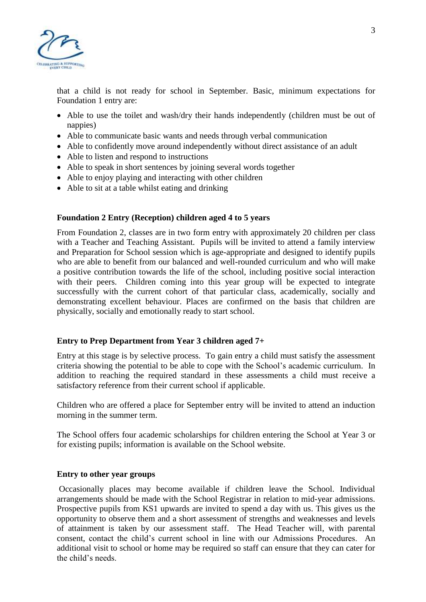

that a child is not ready for school in September. Basic, minimum expectations for Foundation 1 entry are:

- Able to use the toilet and wash/dry their hands independently (children must be out of nappies)
- Able to communicate basic wants and needs through verbal communication
- Able to confidently move around independently without direct assistance of an adult
- Able to listen and respond to instructions
- Able to speak in short sentences by joining several words together
- Able to enjoy playing and interacting with other children
- Able to sit at a table whilst eating and drinking

#### **Foundation 2 Entry (Reception) children aged 4 to 5 years**

From Foundation 2, classes are in two form entry with approximately 20 children per class with a Teacher and Teaching Assistant. Pupils will be invited to attend a family interview and Preparation for School session which is age-appropriate and designed to identify pupils who are able to benefit from our balanced and well-rounded curriculum and who will make a positive contribution towards the life of the school, including positive social interaction with their peers. Children coming into this year group will be expected to integrate successfully with the current cohort of that particular class, academically, socially and demonstrating excellent behaviour. Places are confirmed on the basis that children are physically, socially and emotionally ready to start school.

#### **Entry to Prep Department from Year 3 children aged 7+**

Entry at this stage is by selective process. To gain entry a child must satisfy the assessment criteria showing the potential to be able to cope with the School's academic curriculum. In addition to reaching the required standard in these assessments a child must receive a satisfactory reference from their current school if applicable.

Children who are offered a place for September entry will be invited to attend an induction morning in the summer term.

The School offers four academic scholarships for children entering the School at Year 3 or for existing pupils; information is available on the School website.

#### **Entry to other year groups**

Occasionally places may become available if children leave the School. Individual arrangements should be made with the School Registrar in relation to mid-year admissions. Prospective pupils from KS1 upwards are invited to spend a day with us. This gives us the opportunity to observe them and a short assessment of strengths and weaknesses and levels of attainment is taken by our assessment staff. The Head Teacher will, with parental consent, contact the child's current school in line with our Admissions Procedures. An additional visit to school or home may be required so staff can ensure that they can cater for the child's needs.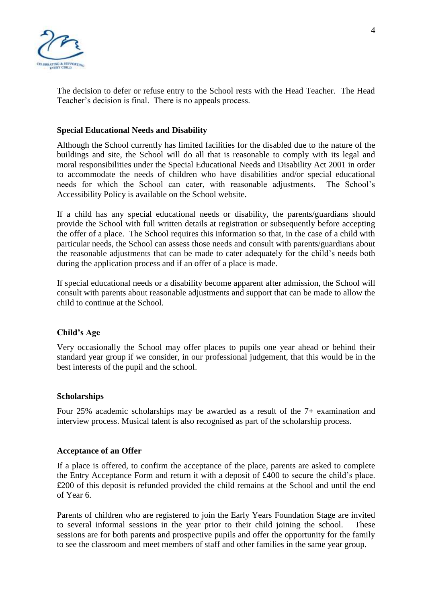

The decision to defer or refuse entry to the School rests with the Head Teacher. The Head Teacher's decision is final. There is no appeals process.

### **Special Educational Needs and Disability**

Although the School currently has limited facilities for the disabled due to the nature of the buildings and site, the School will do all that is reasonable to comply with its legal and moral responsibilities under the Special Educational Needs and Disability Act 2001 in order to accommodate the needs of children who have disabilities and/or special educational needs for which the School can cater, with reasonable adjustments. The School's Accessibility Policy is available on the School website.

If a child has any special educational needs or disability, the parents/guardians should provide the School with full written details at registration or subsequently before accepting the offer of a place. The School requires this information so that, in the case of a child with particular needs, the School can assess those needs and consult with parents/guardians about the reasonable adjustments that can be made to cater adequately for the child's needs both during the application process and if an offer of a place is made.

If special educational needs or a disability become apparent after admission, the School will consult with parents about reasonable adjustments and support that can be made to allow the child to continue at the School.

#### **Child's Age**

Very occasionally the School may offer places to pupils one year ahead or behind their standard year group if we consider, in our professional judgement, that this would be in the best interests of the pupil and the school.

#### **Scholarships**

Four 25% academic scholarships may be awarded as a result of the 7+ examination and interview process. Musical talent is also recognised as part of the scholarship process.

#### **Acceptance of an Offer**

If a place is offered, to confirm the acceptance of the place, parents are asked to complete the Entry Acceptance Form and return it with a deposit of £400 to secure the child's place. £200 of this deposit is refunded provided the child remains at the School and until the end of Year 6.

Parents of children who are registered to join the Early Years Foundation Stage are invited to several informal sessions in the year prior to their child joining the school. These sessions are for both parents and prospective pupils and offer the opportunity for the family to see the classroom and meet members of staff and other families in the same year group.